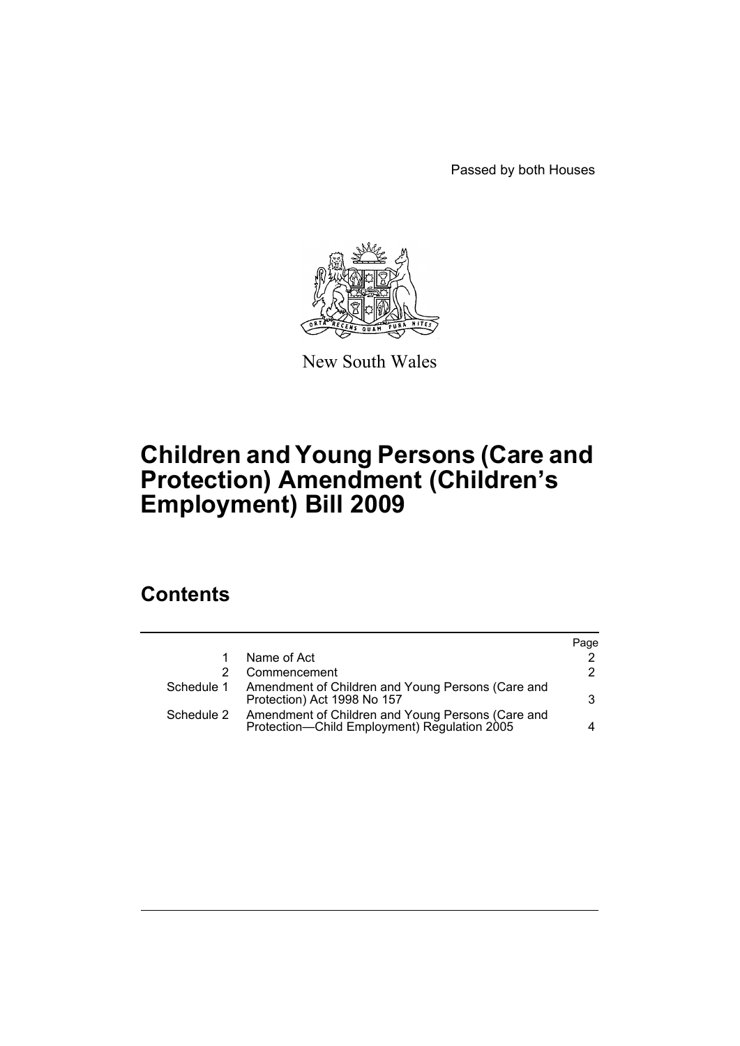Passed by both Houses



New South Wales

# **Children and Young Persons (Care and Protection) Amendment (Children's Employment) Bill 2009**

## **Contents**

|                                                                                                   | Page                                                         |
|---------------------------------------------------------------------------------------------------|--------------------------------------------------------------|
| Name of Act                                                                                       | 2                                                            |
| Commencement                                                                                      | 2                                                            |
| Protection) Act 1998 No 157                                                                       | 3                                                            |
| Amendment of Children and Young Persons (Care and<br>Protection-Child Employment) Regulation 2005 |                                                              |
|                                                                                                   | Schedule 1 Amendment of Children and Young Persons (Care and |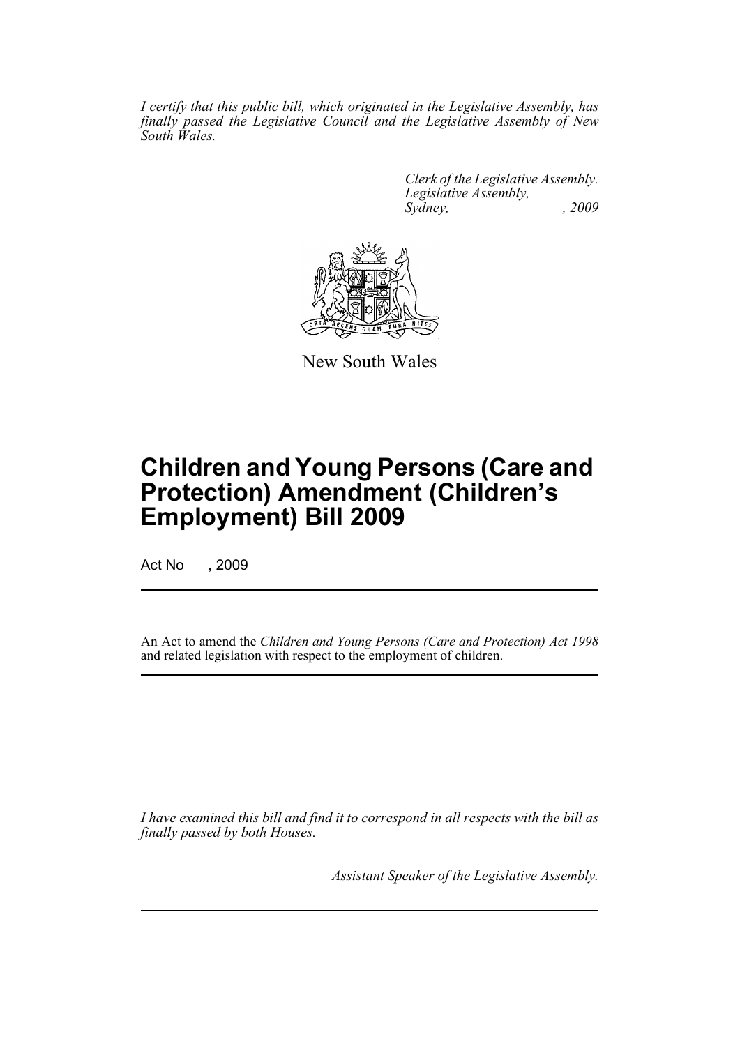*I certify that this public bill, which originated in the Legislative Assembly, has finally passed the Legislative Council and the Legislative Assembly of New South Wales.*

> *Clerk of the Legislative Assembly. Legislative Assembly, Sydney, , 2009*



New South Wales

## **Children and Young Persons (Care and Protection) Amendment (Children's Employment) Bill 2009**

Act No , 2009

An Act to amend the *Children and Young Persons (Care and Protection) Act 1998* and related legislation with respect to the employment of children.

*I have examined this bill and find it to correspond in all respects with the bill as finally passed by both Houses.*

*Assistant Speaker of the Legislative Assembly.*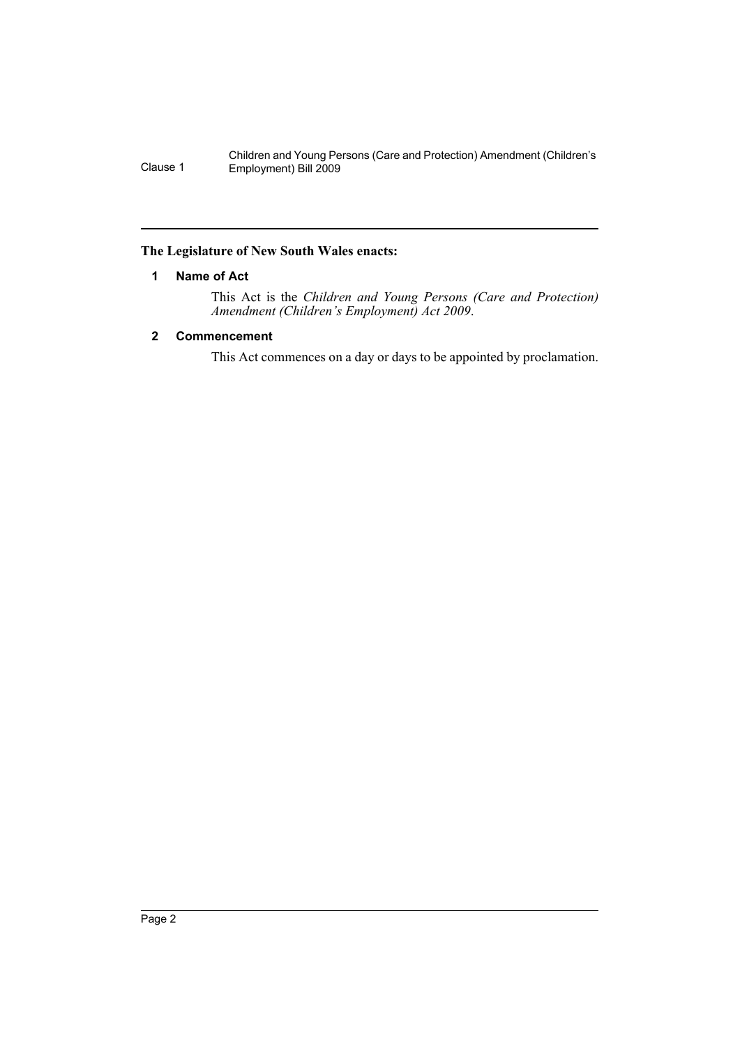Children and Young Persons (Care and Protection) Amendment (Children's Clause 1 Employment) Bill 2009

#### <span id="page-2-0"></span>**The Legislature of New South Wales enacts:**

#### **1 Name of Act**

This Act is the *Children and Young Persons (Care and Protection) Amendment (Children's Employment) Act 2009*.

#### <span id="page-2-1"></span>**2 Commencement**

This Act commences on a day or days to be appointed by proclamation.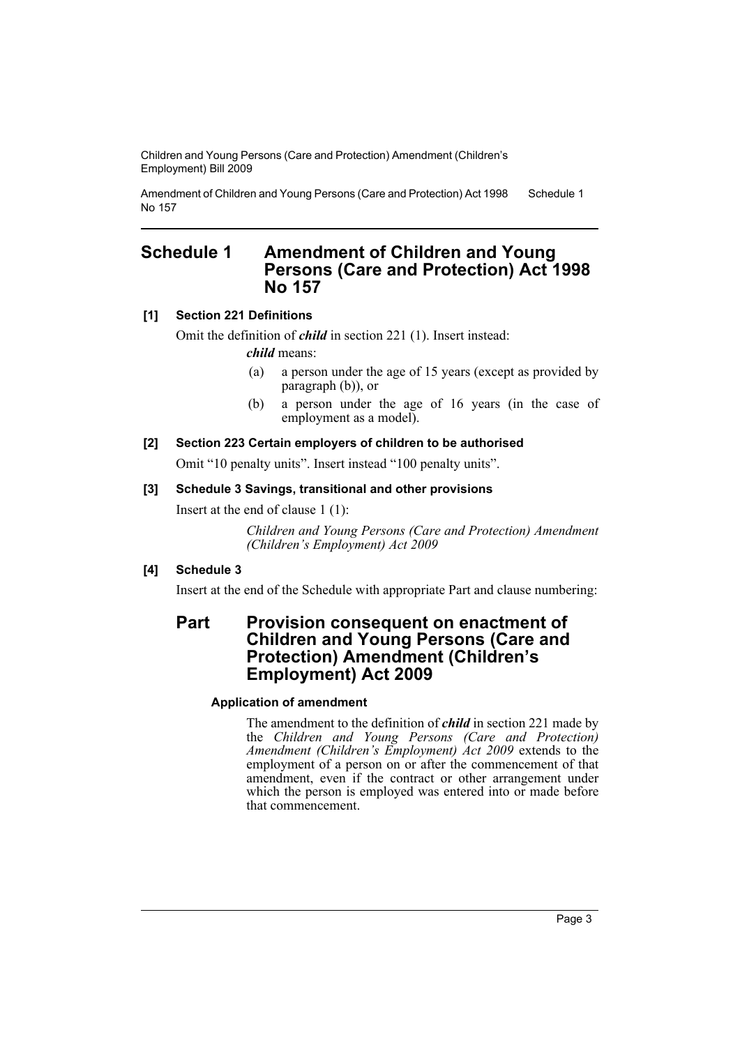Children and Young Persons (Care and Protection) Amendment (Children's Employment) Bill 2009

Amendment of Children and Young Persons (Care and Protection) Act 1998 No 157 Schedule 1

### <span id="page-3-0"></span>**Schedule 1 Amendment of Children and Young Persons (Care and Protection) Act 1998 No 157**

#### **[1] Section 221 Definitions**

Omit the definition of *child* in section 221 (1). Insert instead:

*child* means:

- (a) a person under the age of 15 years (except as provided by paragraph (b)), or
- (b) a person under the age of 16 years (in the case of employment as a model<sup>)</sup>.

#### **[2] Section 223 Certain employers of children to be authorised**

Omit "10 penalty units". Insert instead "100 penalty units".

#### **[3] Schedule 3 Savings, transitional and other provisions**

Insert at the end of clause 1 (1):

*Children and Young Persons (Care and Protection) Amendment (Children's Employment) Act 2009*

#### **[4] Schedule 3**

Insert at the end of the Schedule with appropriate Part and clause numbering:

### **Part Provision consequent on enactment of Children and Young Persons (Care and Protection) Amendment (Children's Employment) Act 2009**

#### **Application of amendment**

The amendment to the definition of *child* in section 221 made by the *Children and Young Persons (Care and Protection) Amendment (Children's Employment) Act 2009* extends to the employment of a person on or after the commencement of that amendment, even if the contract or other arrangement under which the person is employed was entered into or made before that commencement.